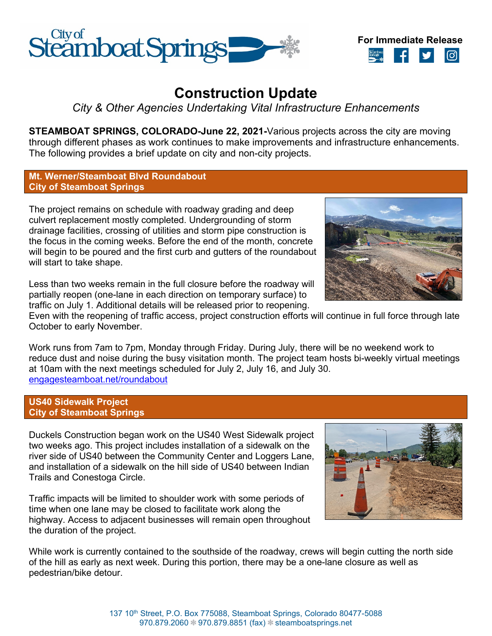



# **Construction Update**

*City & Other Agencies Undertaking Vital Infrastructure Enhancements*

**STEAMBOAT SPRINGS, COLORADO-June 22, 2021-**Various projects across the city are moving through different phases as work continues to make improvements and infrastructure enhancements. The following provides a brief update on city and non-city projects.

## **Mt. Werner/Steamboat Blvd Roundabout City of Steamboat Springs**

The project remains on schedule with roadway grading and deep culvert replacement mostly completed. Undergrounding of storm drainage facilities, crossing of utilities and storm pipe construction is the focus in the coming weeks. Before the end of the month, concrete will begin to be poured and the first curb and gutters of the roundabout will start to take shape.

Less than two weeks remain in the full closure before the roadway will partially reopen (one-lane in each direction on temporary surface) to traffic on July 1. Additional details will be released prior to reopening.

Even with the reopening of traffic access, project construction efforts will continue in full force through late October to early November.

Work runs from 7am to 7pm, Monday through Friday. During July, there will be no weekend work to reduce dust and noise during the busy visitation month. The project team hosts bi-weekly virtual meetings at 10am with the next meetings scheduled for July 2, July 16, and July 30. [engagesteamboat.net/roundabout](file://fs01/share/General%20Government/Communications/Public/Press%20Releases/2021/engagesteamboat.net/roundabout)

## **US40 Sidewalk Project City of Steamboat Springs**

Duckels Construction began work on the US40 West Sidewalk project two weeks ago. This project includes installation of a sidewalk on the river side of US40 between the Community Center and Loggers Lane, and installation of a sidewalk on the hill side of US40 between Indian Trails and Conestoga Circle.

Traffic impacts will be limited to shoulder work with some periods of time when one lane may be closed to facilitate work along the highway. Access to adjacent businesses will remain open throughout the duration of the project.

While work is currently contained to the southside of the roadway, crews will begin cutting the north side of the hill as early as next week. During this portion, there may be a one-lane closure as well as pedestrian/bike detour.



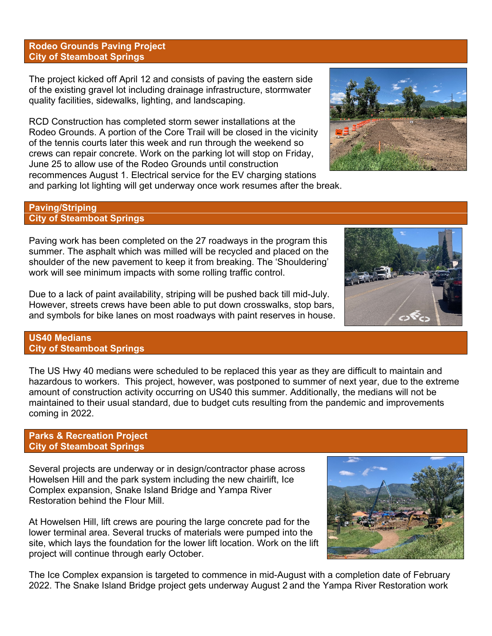#### **Rodeo Grounds Paving Project City of Steamboat Springs**

The project kicked off April 12 and consists of paving the eastern side of the existing gravel lot including drainage infrastructure, stormwater quality facilities, sidewalks, lighting, and landscaping.

RCD Construction has completed storm sewer installations at the Rodeo Grounds. A portion of the Core Trail will be closed in the vicinity of the tennis courts later this week and run through the weekend so crews can repair concrete. Work on the parking lot will stop on Friday, June 25 to allow use of the Rodeo Grounds until construction recommences August 1. Electrical service for the EV charging stations and parking lot lighting will get underway once work resumes after the break.

#### **Paving/Striping City of Steamboat Springs**

Paving work has been completed on the 27 roadways in the program this summer. The asphalt which was milled will be recycled and placed on the shoulder of the new pavement to keep it from breaking. The 'Shouldering' work will see minimum impacts with some rolling traffic control.

Due to a lack of paint availability, striping will be pushed back till mid-July. However, streets crews have been able to put down crosswalks, stop bars, and symbols for bike lanes on most roadways with paint reserves in house.

### **US40 Medians City of Steamboat Springs**

The US Hwy 40 medians were scheduled to be replaced this year as they are difficult to maintain and hazardous to workers. This project, however, was postponed to summer of next year, due to the extreme amount of construction activity occurring on US40 this summer. Additionally, the medians will not be maintained to their usual standard, due to budget cuts resulting from the pandemic and improvements coming in 2022.

#### **Parks & Recreation Project City of Steamboat Springs**

Several projects are underway or in design/contractor phase across Howelsen Hill and the park system including the new chairlift, Ice Complex expansion, Snake Island Bridge and Yampa River Restoration behind the Flour Mill.

At Howelsen Hill, lift crews are pouring the large concrete pad for the lower terminal area. Several trucks of materials were pumped into the site, which lays the foundation for the lower lift location. Work on the lift project will continue through early October.

The Ice Complex expansion is targeted to commence in mid-August with a completion date of February 2022. The Snake Island Bridge project gets underway August 2 and the Yampa River Restoration work